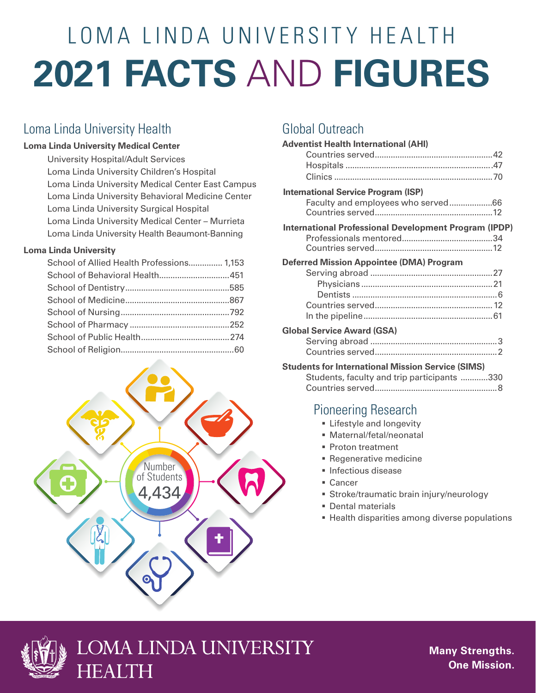# **2021 FACTS** AND **FIGURES** LOMA LINDA UNIVERSITY HEALTH

#### Loma Linda University Health

#### **Loma Linda University Medical Center**

University Hospital/Adult Services Loma Linda University Children's Hospital Loma Linda University Medical Center East Campus Loma Linda University Behavioral Medicine Center Loma Linda University Surgical Hospital Loma Linda University Medical Center – Murrieta Loma Linda University Health Beaumont-Banning

#### **Loma Linda University**

| School of Allied Health Professions 1,153 |  |
|-------------------------------------------|--|
|                                           |  |
|                                           |  |
|                                           |  |
|                                           |  |
|                                           |  |
|                                           |  |
|                                           |  |



## Global Outreach

| <b>Adventist Health International (AHI)</b>                                      |  |
|----------------------------------------------------------------------------------|--|
| <b>International Service Program (ISP)</b><br>Faculty and employees who served66 |  |
| <b>International Professional Development Program (IPDP)</b>                     |  |
| <b>Deferred Mission Appointee (DMA) Program</b>                                  |  |
| <b>Global Service Award (GSA)</b>                                                |  |

#### **Students for International Mission Service (SIMS)**

| Students, faculty and trip participants 330 |  |
|---------------------------------------------|--|
|                                             |  |

## Pioneering Research

- **Executed Lifestyle and longevity**
- § Maternal/fetal/neonatal
- § Proton treatment
- § Regenerative medicine
- § Infectious disease
- Cancer
- § Stroke/traumatic brain injury/neurology
- § Dental materials
- Health disparities among diverse populations





**Many Strengths. One Mission.**